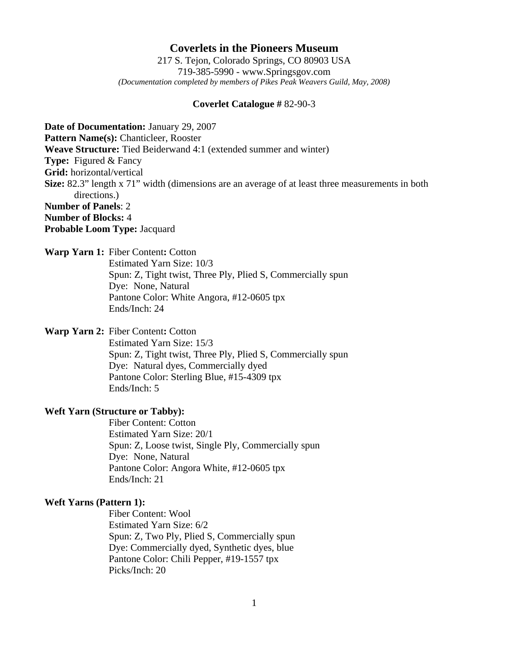## **Coverlets in the Pioneers Museum**

217 S. Tejon, Colorado Springs, CO 80903 USA 719-385-5990 - www.Springsgov.com *(Documentation completed by members of Pikes Peak Weavers Guild, May, 2008)* 

#### **Coverlet Catalogue #** 82-90-3

**Date of Documentation:** January 29, 2007 **Pattern Name(s):** Chanticleer, Rooster **Weave Structure:** Tied Beiderwand 4:1 (extended summer and winter) **Type:** Figured & Fancy **Grid:** horizontal/vertical **Size:** 82.3" length x 71" width (dimensions are an average of at least three measurements in both directions.) **Number of Panels**: 2 **Number of Blocks:** 4 **Probable Loom Type:** Jacquard

**Warp Yarn 1:** Fiber Content**:** Cotton

 Estimated Yarn Size: 10/3 Spun: Z, Tight twist, Three Ply, Plied S, Commercially spun Dye: None, Natural Pantone Color: White Angora, #12-0605 tpx Ends/Inch: 24

**Warp Yarn 2:** Fiber Content**:** Cotton

 Estimated Yarn Size: 15/3 Spun: Z, Tight twist, Three Ply, Plied S, Commercially spun Dye: Natural dyes, Commercially dyed Pantone Color: Sterling Blue, #15-4309 tpx Ends/Inch: 5

#### **Weft Yarn (Structure or Tabby):**

 Fiber Content: Cotton Estimated Yarn Size: 20/1 Spun: Z, Loose twist, Single Ply, Commercially spun Dye: None, Natural Pantone Color: Angora White, #12-0605 tpx Ends/Inch: 21

### **Weft Yarns (Pattern 1):**

 Fiber Content: Wool Estimated Yarn Size: 6/2 Spun: Z, Two Ply, Plied S, Commercially spun Dye: Commercially dyed, Synthetic dyes, blue Pantone Color: Chili Pepper, #19-1557 tpx Picks/Inch: 20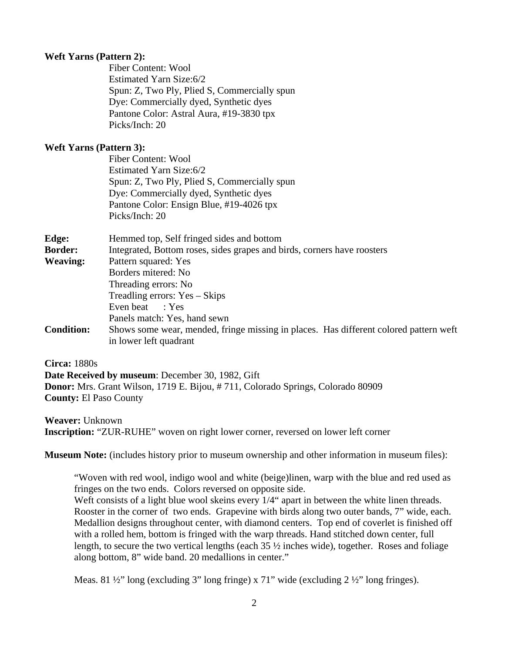# **Weft Yarns (Pattern 2):**

 Fiber Content: Wool Estimated Yarn Size: 6/2 Spun: Z, Two Ply, Plied S, Commercially spun Dye: Commercially dyed, Synthetic dyes Pantone Color: Astral Aura, #19-3830 tpx Picks/Inch: 20

# **Weft Yarns (Pattern 3):**

|                   | Fiber Content: Wool                                                                                             |
|-------------------|-----------------------------------------------------------------------------------------------------------------|
|                   | Estimated Yarn Size:6/2                                                                                         |
|                   | Spun: Z, Two Ply, Plied S, Commercially spun                                                                    |
|                   | Dye: Commercially dyed, Synthetic dyes                                                                          |
|                   | Pantone Color: Ensign Blue, #19-4026 tpx                                                                        |
|                   | Picks/Inch: 20                                                                                                  |
| Edge:             | Hemmed top, Self fringed sides and bottom                                                                       |
| <b>Border:</b>    | Integrated, Bottom roses, sides grapes and birds, corners have roosters                                         |
| <b>Weaving:</b>   | Pattern squared: Yes                                                                                            |
|                   | Borders mitered: No                                                                                             |
|                   | Threading errors: No                                                                                            |
|                   | Treadling errors: Yes – Skips                                                                                   |
|                   | Even beat : Yes                                                                                                 |
|                   | Panels match: Yes, hand sewn                                                                                    |
| <b>Condition:</b> | Shows some wear, mended, fringe missing in places. Has different colored pattern weft<br>in lower left quadrant |

**Circa:** 1880s

**Date Received by museum**: December 30, 1982, Gift **Donor:** Mrs. Grant Wilson, 1719 E. Bijou, # 711, Colorado Springs, Colorado 80909 **County:** El Paso County

**Weaver:** Unknown

**Inscription:** "ZUR-RUHE" woven on right lower corner, reversed on lower left corner

**Museum Note:** (includes history prior to museum ownership and other information in museum files):

 "Woven with red wool, indigo wool and white (beige)linen, warp with the blue and red used as fringes on the two ends. Colors reversed on opposite side. Weft consists of a light blue wool skeins every 1/4" apart in between the white linen threads. Rooster in the corner of two ends. Grapevine with birds along two outer bands, 7" wide, each. Medallion designs throughout center, with diamond centers. Top end of coverlet is finished off with a rolled hem, bottom is fringed with the warp threads. Hand stitched down center, full length, to secure the two vertical lengths (each 35 ½ inches wide), together. Roses and foliage along bottom, 8" wide band. 20 medallions in center."

Meas. 81 ½" long (excluding 3" long fringe) x 71" wide (excluding 2 ½" long fringes).